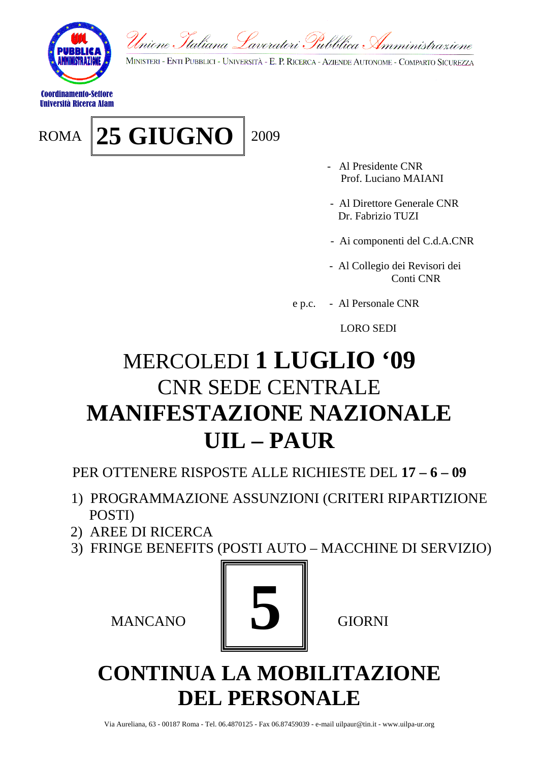

Coordinamento-Settore Università Ricerca Afam

ROMA 25 GIUGNO 2009

MINISTERI - ENTI PUBBLICI - UNIVERSITÀ - E. P. RICERCA - AZIENDE AUTONOME - COMPARTO SICUREZZA

- Al Presidente CNR Prof. Luciano MAIANI
- Al Direttore Generale CNR Dr. Fabrizio TUZI
- Ai componenti del C.d.A.CNR
- Al Collegio dei Revisori dei Conti CNR
- e p.c. Al Personale CNR

LORO SEDI

### MERCOLEDI **1 LUGLIO '09** CNR SEDE CENTRALE **MANIFESTAZIONE NAZIONALE UIL – PAUR**

PER OTTENERE RISPOSTE ALLE RICHIESTE DEL **17 – 6 – 09**

- 1) PROGRAMMAZIONE ASSUNZIONI (CRITERI RIPARTIZIONE POSTI)
- 2) AREE DI RICERCA
- 3) FRINGE BENEFITS (POSTI AUTO MACCHINE DI SERVIZIO)



#### **CONTINUA LA MOBILITAZIONE DEL PERSONALE**

Via Aureliana, 63 - 00187 Roma - Tel. 06.4870125 - Fax 06.87459039 - e-mail uilpaur@tin.it - www.uilpa-ur.org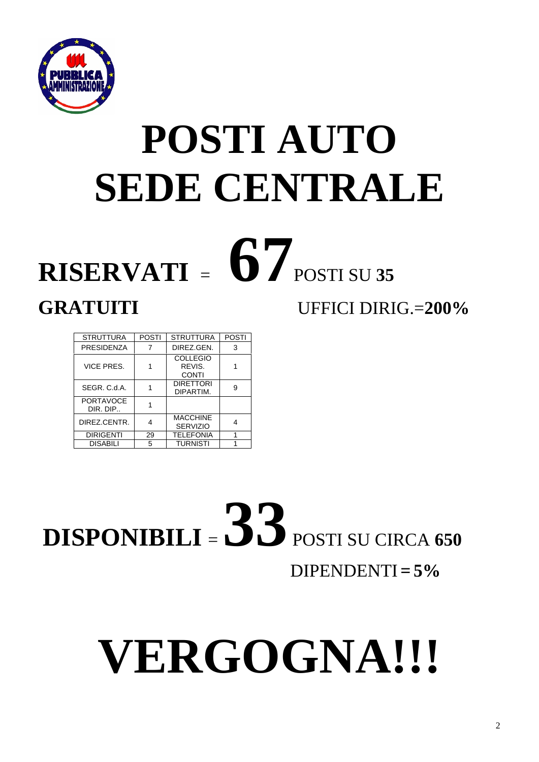

## **POSTI AUTO SEDE CENTRALE**

# $RISERVATI = 67$  POSTI SU 35

#### **GRATUITI** UFFICI DIRIG.=**200%**

| <b>STRUTTURA</b>             | <b>POSTI</b> | <b>STRUTTURA</b>                          | <b>POSTI</b> |
|------------------------------|--------------|-------------------------------------------|--------------|
| PRESIDENZA                   | 7            | DIREZ.GEN.                                | 3            |
| VICE PRES.                   |              | <b>COLLEGIO</b><br>REVIS.<br><b>CONTI</b> |              |
| SEGR, C.d.A.                 |              | <b>DIRETTORI</b><br>DIPARTIM.             | g            |
| <b>PORTAVOCE</b><br>DIR. DIP |              |                                           |              |
| DIREZ.CENTR.                 |              | <b>MACCHINE</b><br><b>SERVIZIO</b>        |              |
| <b>DIRIGENTI</b>             | 29           | <b>TELEFONIA</b>                          |              |
| <b>DISABILI</b>              | 5            | <b>TURNISTI</b>                           |              |

**DISPONIBILI** <sup>=</sup>**33** POSTI SU CIRCA **<sup>650</sup>**  $DIPENDENTI = 5%$ 

# **VERGOGNA!!!**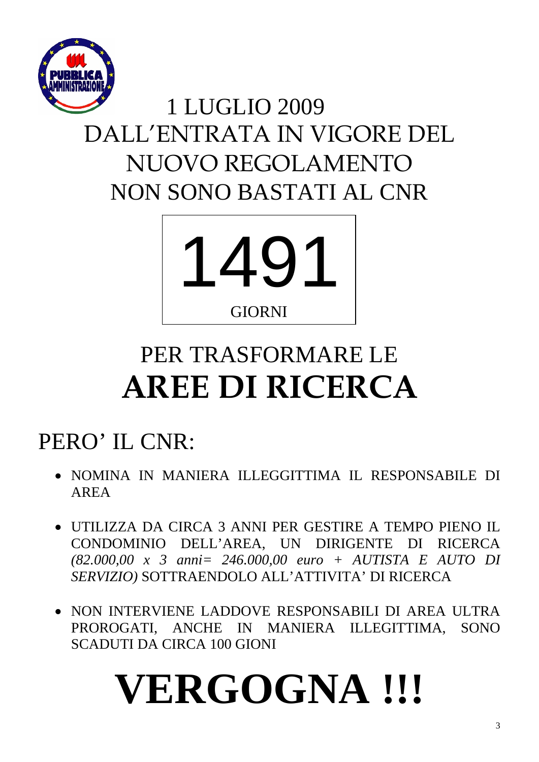

## 1 LUGLIO 2009 DALL'ENTRATA IN VIGORE DEL NUOVO REGOLAMENTO NON SONO BASTATI AL CNR



## PER TRASFORMARE LE **AREE DI RICERCA**

## PERO' IL CNR:

- NOMINA IN MANIERA ILLEGGITTIMA IL RESPONSABILE DI AREA
- UTILIZZA DA CIRCA 3 ANNI PER GESTIRE A TEMPO PIENO IL CONDOMINIO DELL'AREA, UN DIRIGENTE DI RICERCA *(82.000,00 x 3 anni= 246.000,00 euro + AUTISTA E AUTO DI SERVIZIO)* SOTTRAENDOLO ALL'ATTIVITA' DI RICERCA
- NON INTERVIENE LADDOVE RESPONSABILI DI AREA ULTRA PROROGATI, ANCHE IN MANIERA ILLEGITTIMA, SONO SCADUTI DA CIRCA 100 GIONI

## **VERGOGNA !!!**